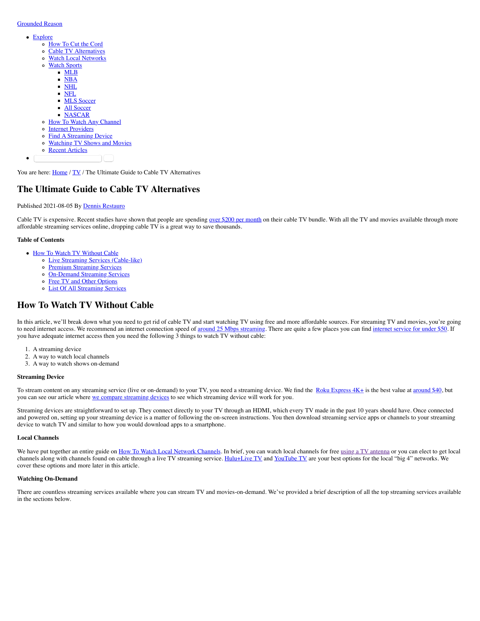# [Grounded Reason](https://www.groundedreason.com/)

- [Explore](https://www.groundedreason.com/cable-tv-alternatives/#)
	- [How To Cut the Cord](https://www.groundedreason.com/cord-cutting-faq/)
	- [Cable TV Alternatives](https://www.groundedreason.com/cable-tv-alternatives/)
	- [Watch Local Networks](https://www.groundedreason.com/watch-local-channels-without-cable/)
	- o [Watch Sports](https://www.groundedreason.com/cable-tv-alternatives/#)
		- [MLB](https://www.groundedreason.com/how-to-watch-mlb-games-without-cable/)
		- [NBA](https://www.groundedreason.com/how-to-watch-nba-games/)
		- [NHL](https://www.groundedreason.com/how-to-watch-nhl-hockey/)
		- [NFL](https://www.groundedreason.com/how-to-watch-nfl-football-online/)
		- **MLS** Soccer
		- **[All Soccer](https://www.groundedreason.com/watch-soccer-online-get-roku/)** [NASCAR](https://www.groundedreason.com/nascar-is-back-online/)
	- o [How To Watch Any Channel](https://www.groundedreason.com/cord-cutting/tv-streaming/how-to-stream-by-channel/)
	- o [Internet Providers](https://www.groundedreason.com/how-to-get-internet-without-cable/)
	- o [Find A Streaming Device](https://www.groundedreason.com/which-streaming-device-is-best-for-you/)
	- [Watching TV Shows and Movies](https://www.groundedreason.com/cord-cutting/tv-streaming/tv-show-how-to-reviews/)
	- o [Recent Articles](https://www.groundedreason.com/blog/)
	- Search this website **Search that**

You are here: *[Home](https://www.groundedreason.com/)* / *[TV](https://www.groundedreason.com/cord-cutting/)* / The Ultimate Guide to Cable TV Alternatives

# **The Ultimate Guide to Cable TV Alternatives**

# Published 2021-08-05 By [Dennis Restauro](https://www.groundedreason.com/author/drestauro/)

Cable TV is expensive. Recent studies have shown that people are spending [over \\$200 per month](https://decisiondata.org/news/report-the-average-cable-bill-now-exceeds-all-other-household-utility-bills-combined/) on their cable TV bundle. With all the TV and movies available through more affordable streaming services online, dropping cable TV is a great way to save thousands.

# **Table of Contents**

- [How To Watch TV Without Cable](https://www.groundedreason.com/cable-tv-alternatives/#How_To_Watch_TV_Without_Cable)
	- o [Live Streaming Services \(Cable-like\)](https://www.groundedreason.com/cable-tv-alternatives/#Live_Streaming_Services_Cable-like)
	- o [Premium Streaming Services](https://www.groundedreason.com/cable-tv-alternatives/#Premium_Streaming_Services)
	- o [On-Demand Streaming Services](https://www.groundedreason.com/cable-tv-alternatives/#On-Demand_Streaming_Services)
	- o [Free TV and Other Options](https://www.groundedreason.com/cable-tv-alternatives/#Free_TV_and_Other_Options)
	- [List Of All Streaming Services](https://www.groundedreason.com/cable-tv-alternatives/#List_Of_All_Streaming_Services)

# **How To Watch TV Without Cable**

In this article, we'll break down what you need to get rid of cable TV and start watching TV using free and more affordable sources. For streaming TV and movies, you're going to need internet access. We recommend an internet connection speed of [around 25 Mbps streaming](https://www.groundedreason.com/how-much-internet-speed-do-you-need/). There are quite a few places you can find [internet service for under \\$50](https://decisiondata.org/news/report-the-average-cable-bill-now-exceeds-all-other-household-utility-bills-combined/). If you have adequate internet access then you need the following 3 things to watch TV without cable:

- 1. A streaming device
- 2. A way to watch local channels
- 3. A way to watch shows on-demand

# **Streaming Device**

To stream content on any streaming service (live or on-demand) to your TV, you need a streaming device. We find the Roku Express  $4K$ + is the best value at [around \\$40](https://amzn.to/2R2jM2D), but you can see our article where [we compare streaming devices](https://www.groundedreason.com/which-streaming-device-is-best-for-you/) to see which streaming device will work for you.

Streaming devices are straightforward to set up. They connect directly to your TV through an HDMI, which every TV made in the past 10 years should have. Once connected and powered on, setting up your streaming device is a matter of following the on-screen instructions. You then download streaming service apps or channels to your streaming device to watch TV and similar to how you would download apps to a smartphone.

# **Local Channels**

We have put together an entire guide on [How To Watch Local Network Channels.](https://www.groundedreason.com/watch-local-channels-without-cable/) In brief, you can watch local channels for free [using a TV antenna](https://www.groundedreason.com/watch-tv-free-antenna-guide/) or you can elect to get local channels along with channels found on cable through a live TV streaming service. [Hulu+Live TV](https://www.groundedreason.com/tv-shows-hulu-worth-cost/) and [YouTube TV](https://www.groundedreason.com/youtube-tv-channels/) are your best options for the local "big 4" networks. We cover these options and more later in this article.

# **Watching On-Demand**

There are countless streaming services available where you can stream TV and movies-on-demand. We've provided a brief description of all the top streaming services available in the sections below.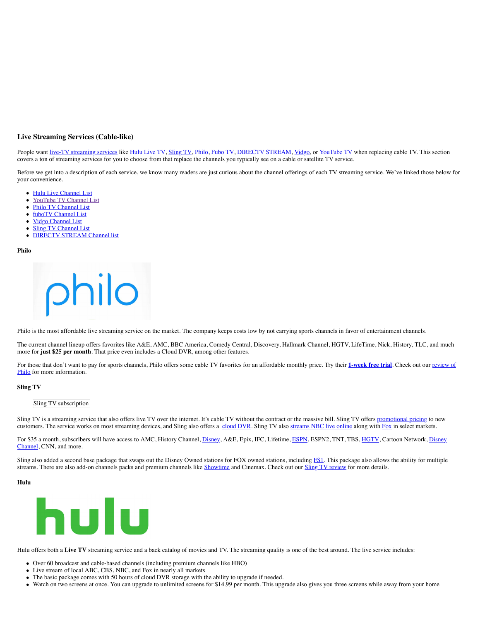# **Live Streaming Services (Cable-like)**

People want [live-TV streaming services](https://www.groundedreason.com/which-is-the-best-live-tv-streaming-service-in-2021/) like [Hulu Live TV](https://www.groundedreason.com/tv-shows-hulu-worth-cost/), [Sling TV,](https://www.groundedreason.com/sling-tv-review-watch-live-tv-online/) [Philo,](https://www.groundedreason.com/philo-tv-channels-review-and-cost/) [Fubo TV,](https://www.groundedreason.com/what-is-fubotv/) [DIRECTV STREAM,](https://www.groundedreason.com/att-tv-changes-prices-channels-and-more/) [Vidgo](https://www.groundedreason.com/a-detailed-look-at-vidgo-channels-plans-and-price/), or [YouTube TV](https://www.groundedreason.com/youtube-tv-channels/) when replacing cable TV. This section covers a ton of streaming services for you to choose from that replace the channels you typically see on a cable or satellite TV service.

Before we get into a description of each service, we know many readers are just curious about the channel offerings of each TV streaming service. We've linked those below for your convenience.

- [Hulu Live Channel List](https://www.groundedreason.com/tv-shows-hulu-worth-cost/#hulu-live-tv-channels)
- [YouTube TV Channel List](https://www.groundedreason.com/youtube-tv-channels/#channels)  $\bullet$
- $\bullet$ [Philo TV Channel List](https://www.groundedreason.com/philo-tv-channels-review-and-cost/#Philo_Channel_Lineup)
- [fuboTV Channel List](https://www.groundedreason.com/what-is-fubotv/#1-fubotv-channels-and-plans)  $\bullet$
- <u>[Vidgo Channel List](https://www.groundedreason.com/a-detailed-look-at-vidgo-channels-plans-and-price/#2-vidgo-channel-packages)</u>
- **[Sling TV Channel List](https://www.groundedreason.com/sling-tv-review-watch-live-tv-online/#Channels_on_Sling_TV)**  $\bullet$
- **[DIRECTV STREAM Channel list](https://www.groundedreason.com/att-tv-changes-prices-channels-and-more/#ATT_TV_Channels)**  $\bullet$

**Philo**

hilo

Philo is the most affordable live streaming service on the market. The company keeps costs low by not carrying sports channels in favor of entertainment channels.

The current channel lineup offers favorites like A&E, AMC, BBC America, Comedy Central, Discovery, Hallmark Channel, HGTV, LifeTime, Nick, History, TLC, and much more for **just \$25 per month**. That price even includes a Cloud DVR, among other features.

[For those that don't want to pay for sports channels, Philo offers some cable TV favorites for an affordable monthly price. Try their](https://www.groundedreason.com/philo-tv-channels-review-and-cost/) [1-week free trial](https://www.groundedreason.com/recommends/philo). Check out our review of Philo for more information.

### **Sling TV**

#### Sling TV subscription

Sling TV is a streaming service that also offers live TV over the internet. It's cable TV without the contract or the massive bill. Sling TV offers [promotional pricing](https://www.groundedreason.com/recommends/sling) to new customers. The service works on most streaming devices, and Sling also offers a [cloud DVR](https://www.groundedreason.com/sling-tv-review-watch-live-tv-online/#sling_dvr). Sling TV also [streams NBC live online](https://www.groundedreason.com/watch-nbc-live-streaming-online/) along with [Fox](https://www.groundedreason.com/watch-fox-live-on-these-streaming-services/) in select markets.

[For \\$35 a month, subscribers will have access to AMC, History Channel, Disney, A&E, Epix, IFC, Lifetime, ESPN, ESPN2, TNT, TBS, HGTV, Cartoon Network, Disney](https://www.groundedreason.com/watch-disney-channel-online-legally/) Channel, CNN, and more.

Sling also added a second base package that swaps out the Disney Owned stations for FOX owned stations, including [FS1](https://www.groundedreason.com/where-to-watch-fs1-stream-live-and-legally/). This package also allows the ability for multiple streams. There are also add-on channels packs and premium channels like [Showtime](https://www.groundedreason.com/its-showtime-without-cable/) and Cinemax. Check out our [Sling TV review](https://www.groundedreason.com/sling-tv-review-watch-live-tv-online/) for more details.

### **Hulu**



Hulu offers both a Live TV streaming service and a back catalog of movies and TV. The streaming quality is one of the best around. The live service includes:

- Over 60 broadcast and cable-based channels (including premium channels like HBO)
- Live stream of local ABC, CBS, NBC, and Fox in nearly all markets
- The basic package comes with 50 hours of cloud DVR storage with the ability to upgrade if needed.
- Watch on two screens at once. You can upgrade to unlimited screens for \$14.99 per month. This upgrade also gives you three screens while away from your home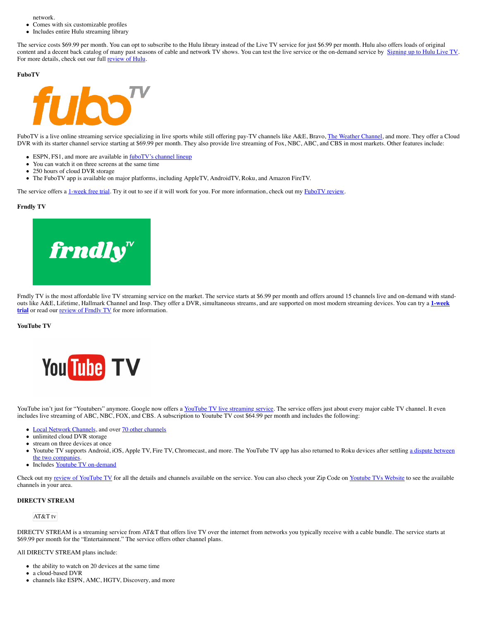network.

- Comes with six customizable profiles
- Includes entire Hulu streaming library

The service costs \$69.99 per month. You can opt to subscribe to the Hulu library instead of the Live TV service for just \$6.99 per month. Hulu also offers loads of original content and a decent back catalog of many past seasons of cable and network TV shows. You can test the live service or the on-demand service by [Signing up to Hulu Live TV](https://www.groundedreason.com/recommends/hululive). For more details, check out our full [review of Hulu.](https://www.groundedreason.com/tv-shows-hulu-worth-cost/)

#### **FuboTV**



FuboTV is a live online streaming service specializing in live sports while still offering pay-TV channels like A&E, Bravo, [The Weather Channel,](https://www.groundedreason.com/watch-weather-channel-live-stream-online/) and more. They offer a Cloud DVR with its starter channel service starting at \$69.99 per month. They also provide live streaming of Fox, NBC, ABC, and CBS in most markets. Other features include:

- ESPN, FS1, and more are available in [fuboTV's channel lineup](https://www.groundedreason.com/what-is-fubotv/#1-fubotv-channels-and-plans)
- You can watch it on three screens at the same time
- 250 hours of cloud DVR storage  $\bullet$
- The FuboTV app is available on major platforms, including AppleTV, AndroidTV, Roku, and Amazon FireTV.

The service offers a [1-week free trial](https://www.groundedreason.com/recommends/FuboTV). Try it out to see if it will work for you. For more information, check out my [FuboTV review](https://www.groundedreason.com/what-is-fubotv/).

#### **Frndly TV**



Frndly TV is the most affordable live TV streaming service on the market. The service starts at \$6.99 per month and offers around 15 channels live and on-demand with stand[outs like A&E, Lifetime, Hallmark Channel and Insp. They offer a DVR, simultaneous streams, and are supported on most modern streaming devices. You can try a](https://www.frndlytv.com/?ref=groundedreason) **1-week trial** or read our **[review of Frndly TV](https://www.groundedreason.com/frndly-tv-channels-plans-and-prices-all-you-need-to-know/)** for more information.

#### **YouTube TV**



YouTube isn't just for "Youtubers" anymore. Google now offers a [YouTube TV live streaming service.](https://www.groundedreason.com/youtube-tv-channels/) The service offers just about every major cable TV channel. It even includes live streaming of ABC, NBC, FOX, and CBS. A subscription to Youtube TV cost \$64.99 per month and includes the following:

- [Local Network Channels,](https://www.groundedreason.com/watch-local-channels-without-cable/) and over [70 other channels](https://www.groundedreason.com/youtube-tv-channels/#0-what-channels-are-on-youtube-tv)
- unlimited cloud DVR storage
- stream on three devices at once
- $\bullet$ [Youtube TV supports Android, iOS, Apple TV, Fire TV, Chromecast, and more. The YouTube TV app has also returned to Roku devices after settling a dispute between](https://www.groundedreason.com/roku-drops-youtube-tv-app-from-its-devices/) the two companies.
- Includes [Youtube TV on-demand](https://www.groundedreason.com/a-look-at-youtube-tvs-on-demand-library/)

Check out my [review of YouTube TV](https://www.groundedreason.com/youtube-tv-channels/) for all the details and channels available on the service. You can also check your Zip Code on [Youtube TVs Website](https://tv.youtube.com/welcome/#id-70channels) to see the available channels in your area.

# **DIRECTV STREAM**

# AT&T tv

DIRECTV STREAM is a streaming service from AT&T that offers live TV over the internet from networks you typically receive with a cable bundle. The service starts at \$69.99 per month for the "Entertainment." The service offers other channel plans.

# All DIRECTV STREAM plans include:

- $\bullet$  the ability to watch on 20 devices at the same time
- a cloud-based DVR
- channels like ESPN, AMC, HGTV, Discovery, and more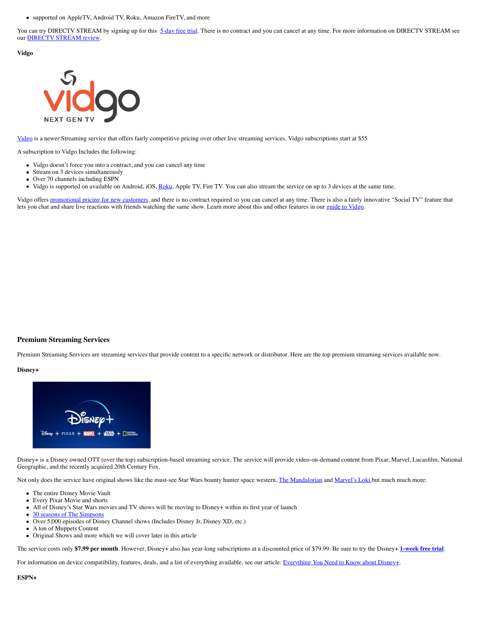supported on AppleTV, Android TV, Roku, Amazon FireTV, and more

You can try DIRECTV STREAM by signing up for this [5-day free trial.](https://www.groundedreason.com/recommends/ATT-Now) There is no contract and you can cancel at any time. For more information on DIRECTV STREAM see our [DIRECTV STREAM review](https://www.groundedreason.com/att-tv-changes-prices-channels-and-more/).

**Vidgo**



[Vidgo](https://www.groundedreason.com/recommends/vidgo) is a newer Streaming service that offers fairly competitive pricing over other live streaming services. Vidgo subscriptions start at \$55

A subscription to Vidgo Includes the following:

- Vidgo doesn't force you into a contract, and you can cancel any time
- Stream on 3 devices simultaneously
- Over 70 channels including ESPN
- Vidgo is supported on available on Android, iOS, [Roku,](https://www.groundedreason.com/a-beginners-guide-to-roku/) Apple TV, Fire TV. You can also stream the service on up to 3 devices at the same time.  $\bullet$

Vidgo offers [promotional pricing for new customers,](https://www.groundedreason.com/recommends/vidgo) and there is no contract required so you can cancel at any time. There is also a fairly innovative "Social TV" feature that lets you chat and share live reactions with friends watching the same show. Learn more about this and other features in our [guide to Vidgo](https://www.groundedreason.com/a-detailed-look-at-vidgo-channels-plans-and-price/).

# **Premium Streaming Services**

Premium Streaming Services are streaming services that provide content to a specific network or distributor. Here are the top premium streaming services available now.

### **Disney+**



Disney+ is a Disney owned OTT (over the top) subscription-based streaming service. The service will provide video-on-demand content from Pixar, Marvel, Lucasfilm, National Geographic, and the recently acquired 20th Century Fox.

Not only does the service have original shows like the must-see Star Wars bounty hunter space western, [The Mandalorian](https://www.groundedreason.com/the-mandalorian-is-the-star-wars-i-remember/) and [Marvel's Loki](https://www.groundedreason.com/how-to-watch-the-loki-tv-series/) but much much more:

- The entire Disney Movie Vault
- $\bullet$ Every Pixar Movie and shorts
- All of Disney's Star Wars movies and TV shows will be moving to Disney+ within its first year of launch
- [30 seasons of The Simpsons](https://www.groundedreason.com/where-to-watch-the-simpsons/)  $\bullet$
- Over 5,000 episodes of Disney Channel shows (Includes Disney Jr, Disney XD, etc.)  $\bullet$
- $\bullet$ A ton of Muppets Content
- Original Shows and more which we will cover later in this article  $\bullet$

The service costs only **\$7.99 per month**. However, Disney+ also has year-long subscriptions at a discounted price of \$79.99. Be sure to try the Disney+ **[1-week free trial](https://www.groundedreason.com/recommends/disney_plus_bundle)**.

For information on device compatibility, features, deals, and a list of everything available, see our article: [Everything You Need to Know about Disney+.](https://www.groundedreason.com/disney-shows-release-date-and-features/)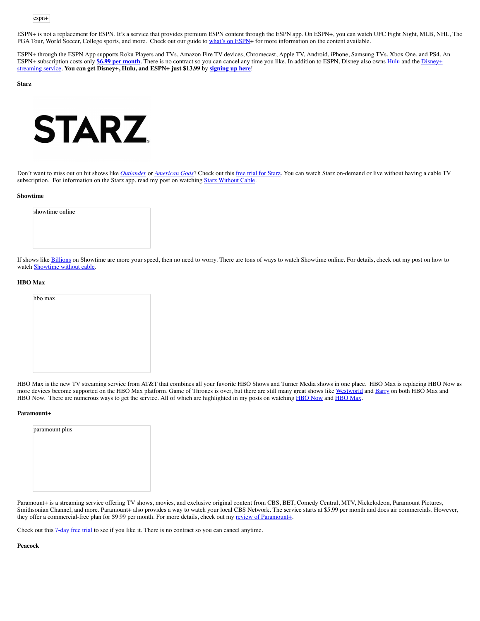ESPN+ is not a replacement for ESPN. It's a service that provides premium ESPN content through the ESPN app. On ESPN+, you can watch UFC Fight Night, MLB, NHL, The PGA Tour, World Soccer, College sports, and more. Check out our guide to [what's on ESPN](https://www.groundedreason.com/what-is-espn-espn-plus-and-how-to-watch-it/)+ for more information on the content available.

ESPN+ through the ESPN App supports Roku Players and TVs, Amazon Fire TV devices, Chromecast, Apple TV, Android, iPhone, Samsung TVs, Xbox One, and PS4. An ESPN+ subscription costs only **[\\$6.99 per month](https://go.web.plus.espn.com/c/198939/641471/9070)**[. There is no contract so you can cancel any time you like. In addition to ESPN, Disney also owns](https://www.groundedreason.com/disney-shows-release-date-and-features/) **[Hul](https://www.groundedreason.com/tv-shows-hulu-worth-cost/)u** and the Disney+ streaming service. **You can get Disney+, Hulu, and ESPN+ just \$13.99** by **[signing up here](https://go.web.plus.espn.com/c/198939/641471/9070)**!

**Starz**



Don't want to miss out on hit shows like *[Outlander](https://www.groundedreason.com/how-to-watch-outlander-online-without-cable/)* or *[American Gods](https://www.groundedreason.com/how-to-watch-season-2-of-american-gods%ef%bb%bf-online/)*? Check out this [free trial for Starz](https://www.groundedreason.com/recommends/Starz). You can watch Starz on-demand or live without having a cable TV subscription. For information on the Starz app, read my post on watching [Starz Without Cable](https://www.groundedreason.com/starz-is-easy-to-watch-without-cable/).

#### **Showtime**

| showtime online |  |  |  |
|-----------------|--|--|--|
|                 |  |  |  |
|                 |  |  |  |
|                 |  |  |  |

If shows like [Billions](https://www.groundedreason.com/how-to-watch-showtimes-billions%ef%bb%bf-without-cable/) on Showtime are more your speed, then no need to worry. There are tons of ways to watch Showtime online. For details, check out my post on how to watch [Showtime without cable.](https://www.groundedreason.com/its-showtime-without-cable/)

### **HBO Max**



HBO Max is the new TV streaming service from AT&T that combines all your favorite HBO Shows and Turner Media shows in one place. HBO Max is replacing HBO Now as more devices become supported on the HBO Max platform. Game of Thrones is over, but there are still many great shows like [Westworld](https://www.groundedreason.com/westworld-returns-to-hbo/) and [Barry](https://www.groundedreason.com/how-to-watch-barry-season-2-without-cable/) on both HBO Max and [HBO Now](https://www.groundedreason.com/hbo-max-is-replacing-hbo-now-on-some-devices/). There are numerous ways to get the service. All of which are highlighted in my posts on watching HBO Now and [HBO Max](https://www.groundedreason.com/hbo-max-is-replacing-hbo-now-on-some-devices/).

#### **Paramount+**

| paramount plus |  |  |
|----------------|--|--|
|                |  |  |
|                |  |  |
|                |  |  |
|                |  |  |

Paramount+ is a streaming service offering TV shows, movies, and exclusive original content from CBS, BET, Comedy Central, MTV, Nickelodeon, Paramount Pictures, Smithsonian Channel, and more. Paramount+ also provides a way to watch your local CBS Network. The service starts at \$5.99 per month and does air commercials. However, they offer a commercial-free plan for \$9.99 per month. For more details, check out my [review of Paramount+](https://www.groundedreason.com/paramount-plus/).

Check out this [7-day free trial](https://www.groundedreason.com/recommends/ParamountPlus) to see if you like it. There is no contract so you can cancel anytime.

**Peacock**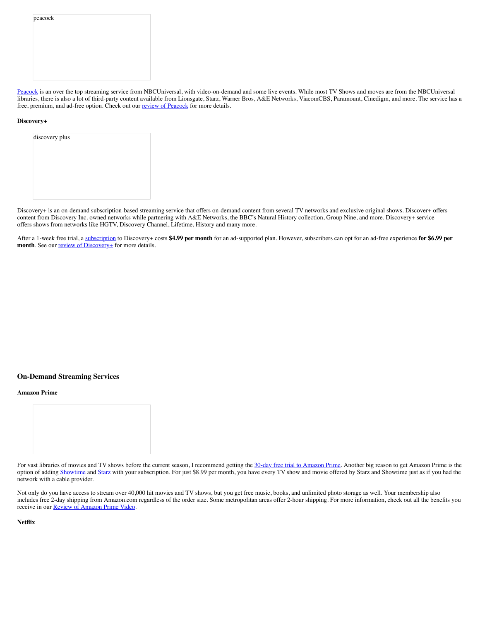peacock

[Peacock](https://groundedreason.com/recommends/peacock) is an over the top streaming service from NBCUniversal, with video-on-demand and some live events. While most TV Shows and moves are from the NBCUniversal libraries, there is also a lot of third-party content available from Lionsgate, Starz, Warner Bros, A&E Networks, ViacomCBS, Paramount, Cinedigm, and more. The service has a free, premium, and ad-free option. Check out our [review of Peacock](https://www.groundedreason.com/the-details-on-the-nbc-streaming-service-peacock/) for more details.

### **Discovery+**

Discovery+ is an on-demand subscription-based streaming service that offers on-demand content from several TV networks and exclusive original shows. Discover+ offers content from Discovery Inc. owned networks while partnering with A&E Networks, the BBC's Natural History collection, Group Nine, and more. Discovery+ service offers shows from networks like HGTV, Discovery Channel, Lifetime, History and many more.

After a 1-week free trial, a [subscription](https://www.discoveryplus.com/) to Discovery+ costs **\$4.99 per month** for an ad-supported plan. However, subscribers can opt for an ad-free experience **for \$6.99 per month**. See our **<u>review of Discovery+</u>** for more details.

# **On-Demand Streaming Services**

#### **Amazon Prime**



For vast libraries of movies and TV shows before the current season, I recommend getting the [30-day free trial to Amazon Prime.](https://www.groundedreason.com/recommends/AmazonPrime) Another big reason to get Amazon Prime is the option of adding [Showtime](https://www.groundedreason.com/its-showtime-without-cable/) and [Starz](https://www.groundedreason.com/starz-is-easy-to-watch-without-cable/) with your subscription. For just \$8.99 per month, you have every TV show and movie offered by Starz and Showtime just as if you had the network with a cable provider.

Not only do you have access to stream over 40,000 hit movies and TV shows, but you get free music, books, and unlimited photo storage as well. Your membership also includes free 2-day shipping from Amazon.com regardless of the order size. Some metropolitan areas offer 2-hour shipping. For more information, check out all the benefits you receive in our [Review of Amazon Prime Video](https://www.groundedreason.com/amazon-prime-video-what-you-need-to-know/).

**Netflix**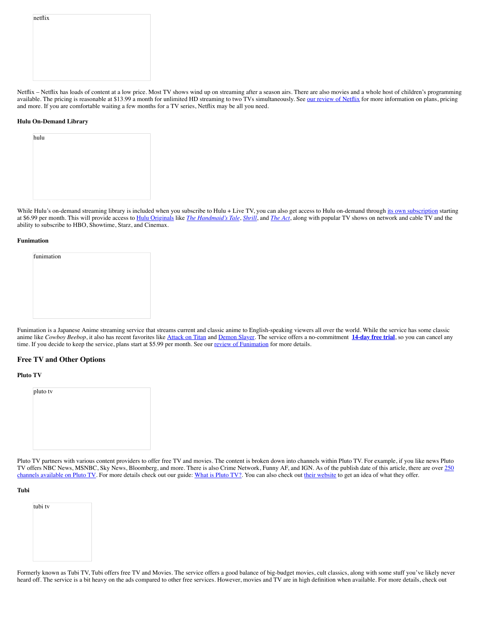| netflix |  |  |  |
|---------|--|--|--|
|         |  |  |  |
|         |  |  |  |
|         |  |  |  |
|         |  |  |  |
|         |  |  |  |
|         |  |  |  |
|         |  |  |  |

Netflix – Netflix has loads of content at a low price. Most TV shows wind up on streaming after a season airs. There are also movies and a whole host of children's programming available. The pricing is reasonable at \$13.99 a month for unlimited HD streaming to two TVs simultaneously. See [our review of Netflix](https://www.groundedreason.com/netflix-prices-plans-and-answers-to-your-questions/) for more information on plans, pricing and more. If you are comfortable waiting a few months for a TV series, Netflix may be all you need.

# **Hulu On-Demand Library**

| hulu |  |  |  |
|------|--|--|--|
|      |  |  |  |
|      |  |  |  |
|      |  |  |  |
|      |  |  |  |

While Hulu's on-demand streaming library is included when you subscribe to Hulu + Live TV, you can also get access to Hulu on-demand through [its own subscription](https://www.groundedreason.com/tv-shows-hulu-worth-cost/#on-demand) starting at \$6.99 per month. This will provide access to [Hulu Originals](https://www.groundedreason.com/the-best-hulu-original-series-new-rankings/) like *[The Handmaid's Tale](https://www.groundedreason.com/where-to-watch-the-handmaids-tale/)*, *[Shrill](https://www.groundedreason.com/hulus-original-series-shrill-drops-march-15/)*, and *[The Act](https://www.groundedreason.com/hulu-debuts-the-act-on-march-10/)*, along with popular TV shows on network and cable TV and the ability to subscribe to HBO, Showtime, Starz, and Cinemax.

# **Funimation**

| funimation |  |  |  |
|------------|--|--|--|
|            |  |  |  |
|            |  |  |  |
|            |  |  |  |
|            |  |  |  |
|            |  |  |  |
|            |  |  |  |
|            |  |  |  |

Funimation is a Japanese Anime streaming service that streams current and classic anime to English-speaking viewers all over the world. While the service has some classic anime like *Cowboy Beebop*, it also has recent favorites like [Attack on Titan](https://www.groundedreason.com/how-to-watch-attack-on-titan/) and [Demon Slayer.](https://www.groundedreason.com/how-to-watch-demon-slayer/) The service offers a no-commitment [14-day free trial](https://www.groundedreason.com/recommends/funimation), so you can cancel any time. If you decide to keep the service, plans start at \$5.99 per month. See our [review of Funimation](https://www.groundedreason.com/is-the-funimation-anime-streaming-service-worth-it/) for more details.

# **Free TV and Other Options**

# **Pluto TV**

| pluto tv |  |  |
|----------|--|--|
|          |  |  |
|          |  |  |
|          |  |  |
|          |  |  |

Pluto TV partners with various content providers to offer free TV and movies. The content is broken down into channels within Pluto TV. For example, if you like news Pluto [TV offers NBC News, MSNBC, Sky News, Bloomberg, and more. There is also Crime Network, Funny AF, and IGN. As of the publish date of this article, there are over 250](https://www.groundedreason.com/pluto-tv-now-offers-over-250-free-channels/) channels available on Pluto TV. For more details check out our guide: [What is Pluto TV?](https://www.groundedreason.com/what-is-pluto-tv/). You can also check out [their website](https://pluto.tv/watch/pluto-tv-sports) to get an idea of what they offer.

# **Tubi**

| tubi tv |  |  |
|---------|--|--|
|         |  |  |
|         |  |  |
|         |  |  |
|         |  |  |
|         |  |  |

Formerly known as Tubi TV, Tubi offers free TV and Movies. The service offers a good balance of big-budget movies, cult classics, along with some stuff you've likely never heard off. The service is a bit heavy on the ads compared to other free services. However, movies and TV are in high definition when available. For more details, check out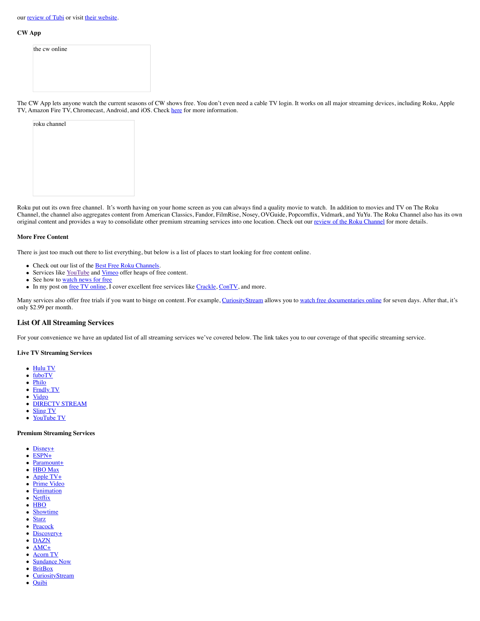# our [review of Tubi](https://www.groundedreason.com/what-is-tubi-tv/) or visit [their website](https://tubitv.com/).

### **CW App**

| CW App lets anyone watch the current sease |  |  |
|--------------------------------------------|--|--|

The CW App lets anyone watch the current seasons of CW shows free. You don't even need a cable TV login. It works on all major streaming devices, including Roku, Apple TV. Amazon Fire TV. Chromecast. Android. and iOS. Chec I iOS. Check [here](http://www.cwtv.com/thecw/the-cw-app) for more information.

| roku channel |  |  |  |
|--------------|--|--|--|
|              |  |  |  |
|              |  |  |  |
|              |  |  |  |
|              |  |  |  |
|              |  |  |  |
|              |  |  |  |

Roku put out its own free channel. It's worth having on your home screen as you can always find a quality movie to watch. In addition to movies and TV on The Roku Channel, the channel also aggregates content from American Classics, Fandor, FilmRise, Nosey, OVGuide, Popcornflix, Vidmark, and YuYu. The Roku Channel also has its own original content and provides a way to consolidate other premium streaming services into one location. Check out our [review of the Roku Channel](https://www.groundedreason.com/roku-is-releasing-a-free-movie-channel/) for more details.

# **More Free Content**

There is just too much out there to list everything, but below is a list of places to start looking for free content online.

- Check out our list of the **[Best Free Roku Channels](https://www.groundedreason.com/best-free-roku-channels/)**.
- Services like [YouTube](https://www.youtube.com/) and [Vimeo](https://vimeo.com/) offer heaps of free content.  $\bullet$
- See how to [watch news for free](https://www.groundedreason.com/watching-the-news-without-cable-tv/)  $\bullet$
- In my post on <u>free TV online</u>, I cover excellent free services like [Crackle,](https://www.groundedreason.com/crackle-free-movies-and-tv-for-all/) [ConTV,](https://www.groundedreason.com/contv-get-your-geek-on/) and more.

Many services also offer free trials if you want to binge on content. For example, [CuriosityStream](https://www.groundedreason.com/recommends/CuriosityStream) allows you to [watch free documentaries online](https://www.groundedreason.com/watch-documentaries-online/) for seven days. After that, it's only \$2.99 per month.

# **List Of All Streaming Services**

For your convenience we have an updated list of all streaming services we've covered below. The link takes you to our coverage of that specific streaming service.

# **Live TV Streaming Services**

- $\bullet$ [Hulu TV](https://www.groundedreason.com/tv-shows-hulu-worth-cost/)
- [fuboTV](https://www.groundedreason.com/what-is-fubotv/)  $\bullet$
- $\bullet$ [Philo](https://www.groundedreason.com/philo-tv-channels-review-and-cost/)
- $\bullet$ [Frndly TV](https://www.groundedreason.com/frndly-tv-channels-plans-and-prices-all-you-need-to-know/)
- $\bullet$ **[Vidgo](https://www.groundedreason.com/a-detailed-look-at-vidgo-channels-plans-and-price/)**
- [DIRECTV STREAM](https://www.groundedreason.com/att-tv-changes-prices-channels-and-more/)  $\bullet$
- $\bullet$ [Sling TV](https://www.groundedreason.com/sling-tv-review-watch-live-tv-online/)  $\bullet$
- [YouTube TV](https://www.groundedreason.com/youtube-tv-channels/)

# **Premium Streaming Services**

- [Disney+](https://www.groundedreason.com/disney-shows-release-date-and-features/)
- $\bullet$ [ESPN+](https://www.groundedreason.com/what-is-espn-espn-plus-and-how-to-watch-it/)
- [Paramount+](https://www.groundedreason.com/paramount-plus/)  $\bullet$
- [HBO Max](https://www.groundedreason.com/hbo-max-is-replacing-hbo-now-on-some-devices/)  $\bullet$
- $\bullet$ [Apple TV+](https://www.groundedreason.com/apple-tv-cost-features-and-shows/) [Prime Video](https://www.groundedreason.com/amazon-prime-video-what-you-need-to-know/)
- $\bullet$  $\bullet$ **[Funimation](https://www.groundedreason.com/is-the-funimation-anime-streaming-service-worth-it/)**
- **[Netflix](https://www.groundedreason.com/netflix-prices-plans-and-answers-to-your-questions/)**  $\bullet$
- **[HBO](https://www.groundedreason.com/watch-games-of-thrones-without-cable/)**  $\bullet$
- [Showtime](https://www.groundedreason.com/its-showtime-without-cable/)  $\bullet$
- $\bullet$ **[Starz](https://www.groundedreason.com/starz-is-easy-to-watch-without-cable/)**
- $\bullet$ [Peacock](https://www.groundedreason.com/the-details-on-the-nbc-streaming-service-peacock/)
- $\bullet$ [Discovery+](https://www.groundedreason.com/what-we-know-about-the-discovery-streaming-service/)
- $\bullet$ [DAZN](https://www.groundedreason.com/a-look-at-the-sports-streaming-service-dazn/)
- [AMC+](https://www.groundedreason.com/amc-bundles-amc-shudder-sundance-and-more/)  $\bullet$
- $\bullet$ [Acorn TV](https://www.groundedreason.com/acorn-tv-vs-britbox/) [Sundance Now](https://www.groundedreason.com/what-is-sundance-now/)
- $\bullet$  $\bullet$ **[BritBox](https://www.groundedreason.com/acorn-tv-vs-britbox/)**
- **[CuriosityStream](https://www.groundedreason.com/watch-documentaries-online/)**  $\bullet$
- **[Quibi](https://www.groundedreason.com/what-is-quibi/)**  $\bullet$